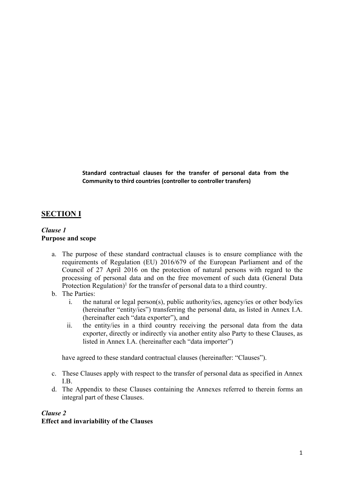**Standard contractual clauses for the transfer of personal data from the Community to third countries (controller to controller transfers)**

# **SECTION I**

#### *Clause 1* **Purpose and scope**

- a. The purpose of these standard contractual clauses is to ensure compliance with the requirements of Regulation (EU) 2016/679 of the European Parliament and of the Council of 27 April 2016 on the protection of natural persons with regard to the processing of personal data and on the free movement of such data (General Data Protection Regulation)<sup>1</sup> for the transfer of personal data to a third country.
- b. The Parties:
	- i. the natural or legal person(s), public authority/ies, agency/ies or other body/ies (hereinafter "entity/ies") transferring the personal data, as listed in Annex I.A. (hereinafter each "data exporter"), and
	- ii. the entity/ies in a third country receiving the personal data from the data exporter, directly or indirectly via another entity also Party to these Clauses, as listed in Annex I.A. (hereinafter each "data importer")

have agreed to these standard contractual clauses (hereinafter: "Clauses").

- c. These Clauses apply with respect to the transfer of personal data as specified in Annex I.B.
- d. The Appendix to these Clauses containing the Annexes referred to therein forms an integral part of these Clauses.

### *Clause 2*

# **Effect and invariability of the Clauses**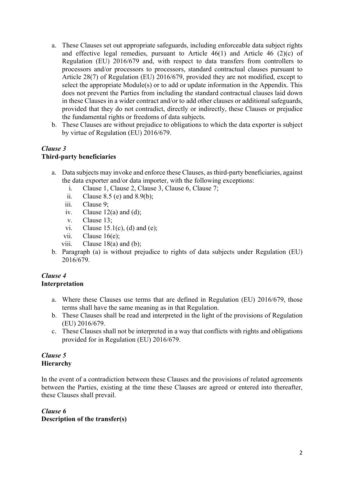- a. These Clauses set out appropriate safeguards, including enforceable data subject rights and effective legal remedies, pursuant to Article 46(1) and Article 46 (2)(c) of Regulation (EU) 2016/679 and, with respect to data transfers from controllers to processors and/or processors to processors, standard contractual clauses pursuant to Article 28(7) of Regulation (EU) 2016/679, provided they are not modified, except to select the appropriate Module(s) or to add or update information in the Appendix. This does not prevent the Parties from including the standard contractual clauses laid down in these Clauses in a wider contract and/or to add other clauses or additional safeguards, provided that they do not contradict, directly or indirectly, these Clauses or prejudice the fundamental rights or freedoms of data subjects.
- b. These Clauses are without prejudice to obligations to which the data exporter is subject by virtue of Regulation (EU) 2016/679.

### *Clause 3* **Third-party beneficiaries**

- a. Data subjects may invoke and enforce these Clauses, as third-party beneficiaries, against the data exporter and/or data importer, with the following exceptions:
	- i. Clause 1, Clause 2, Clause 3, Clause 6, Clause 7;
	- ii. Clause  $8.5$  (e) and  $8.9(b)$ ;
	- iii. Clause 9;
	- iv. Clause  $12(a)$  and  $(d)$ :
	- v. Clause 13;
	- vi. Clause  $15.1(c)$ , (d) and (e);
	- vii. Clause 16(e);
	- viii. Clause  $18(a)$  and (b);
- b. Paragraph (a) is without prejudice to rights of data subjects under Regulation (EU) 2016/679.

### *Clause 4* **Interpretation**

- a. Where these Clauses use terms that are defined in Regulation (EU) 2016/679, those terms shall have the same meaning as in that Regulation.
- b. These Clauses shall be read and interpreted in the light of the provisions of Regulation (EU) 2016/679.
- c. These Clauses shall not be interpreted in a way that conflicts with rights and obligations provided for in Regulation (EU) 2016/679.

#### *Clause 5* **Hierarchy**

In the event of a contradiction between these Clauses and the provisions of related agreements between the Parties, existing at the time these Clauses are agreed or entered into thereafter, these Clauses shall prevail.

*Clause 6* **Description of the transfer(s)**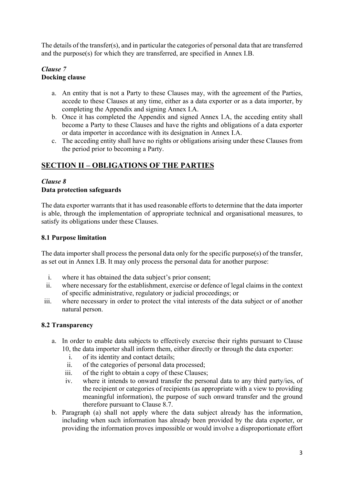The details of the transfer(s), and in particular the categories of personal data that are transferred and the purpose(s) for which they are transferred, are specified in Annex I.B.

# *Clause 7*  **Docking clause**

- a. An entity that is not a Party to these Clauses may, with the agreement of the Parties, accede to these Clauses at any time, either as a data exporter or as a data importer, by completing the Appendix and signing Annex I.A.
- b. Once it has completed the Appendix and signed Annex I.A, the acceding entity shall become a Party to these Clauses and have the rights and obligations of a data exporter or data importer in accordance with its designation in Annex I.A.
- c. The acceding entity shall have no rights or obligations arising under these Clauses from the period prior to becoming a Party.

# **SECTION II – OBLIGATIONS OF THE PARTIES**

### *Clause 8* **Data protection safeguards**

The data exporter warrants that it has used reasonable efforts to determine that the data importer is able, through the implementation of appropriate technical and organisational measures, to satisfy its obligations under these Clauses.

## **8.1 Purpose limitation**

The data importer shall process the personal data only for the specific purpose(s) of the transfer, as set out in Annex I.B. It may only process the personal data for another purpose:

- i. where it has obtained the data subject's prior consent;
- ii. where necessary for the establishment, exercise or defence of legal claims in the context of specific administrative, regulatory or judicial proceedings; or
- iii. where necessary in order to protect the vital interests of the data subject or of another natural person.

# **8.2 Transparency**

- a. In order to enable data subjects to effectively exercise their rights pursuant to Clause 10, the data importer shall inform them, either directly or through the data exporter:
	- i. of its identity and contact details;
	- ii. of the categories of personal data processed;
	- iii. of the right to obtain a copy of these Clauses;
	- iv. where it intends to onward transfer the personal data to any third party/ies, of the recipient or categories of recipients (as appropriate with a view to providing meaningful information), the purpose of such onward transfer and the ground therefore pursuant to Clause 8.7.
- b. Paragraph (a) shall not apply where the data subject already has the information, including when such information has already been provided by the data exporter, or providing the information proves impossible or would involve a disproportionate effort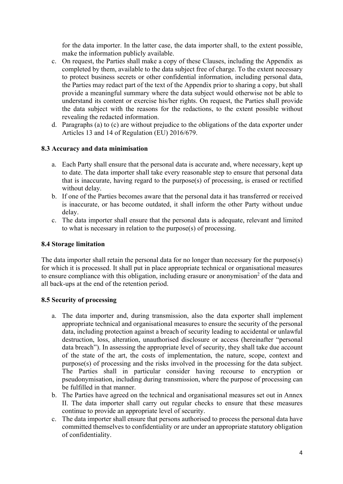for the data importer. In the latter case, the data importer shall, to the extent possible, make the information publicly available.

- c. On request, the Parties shall make a copy of these Clauses, including the Appendix as completed by them, available to the data subject free of charge. To the extent necessary to protect business secrets or other confidential information, including personal data, the Parties may redact part of the text of the Appendix prior to sharing a copy, but shall provide a meaningful summary where the data subject would otherwise not be able to understand its content or exercise his/her rights. On request, the Parties shall provide the data subject with the reasons for the redactions, to the extent possible without revealing the redacted information.
- d. Paragraphs (a) to (c) are without prejudice to the obligations of the data exporter under Articles 13 and 14 of Regulation (EU) 2016/679.

### **8.3 Accuracy and data minimisation**

- a. Each Party shall ensure that the personal data is accurate and, where necessary, kept up to date. The data importer shall take every reasonable step to ensure that personal data that is inaccurate, having regard to the purpose(s) of processing, is erased or rectified without delay.
- b. If one of the Parties becomes aware that the personal data it has transferred or received is inaccurate, or has become outdated, it shall inform the other Party without undue delay.
- c. The data importer shall ensure that the personal data is adequate, relevant and limited to what is necessary in relation to the purpose(s) of processing.

### **8.4 Storage limitation**

The data importer shall retain the personal data for no longer than necessary for the purpose(s) for which it is processed. It shall put in place appropriate technical or organisational measures to ensure compliance with this obligation, including erasure or anonymisation<sup>2</sup> of the data and all back-ups at the end of the retention period.

### **8.5 Security of processing**

- a. The data importer and, during transmission, also the data exporter shall implement appropriate technical and organisational measures to ensure the security of the personal data, including protection against a breach of security leading to accidental or unlawful destruction, loss, alteration, unauthorised disclosure or access (hereinafter "personal data breach"). In assessing the appropriate level of security, they shall take due account of the state of the art, the costs of implementation, the nature, scope, context and purpose(s) of processing and the risks involved in the processing for the data subject. The Parties shall in particular consider having recourse to encryption or pseudonymisation, including during transmission, where the purpose of processing can be fulfilled in that manner.
- b. The Parties have agreed on the technical and organisational measures set out in Annex II. The data importer shall carry out regular checks to ensure that these measures continue to provide an appropriate level of security.
- c. The data importer shall ensure that persons authorised to process the personal data have committed themselves to confidentiality or are under an appropriate statutory obligation of confidentiality.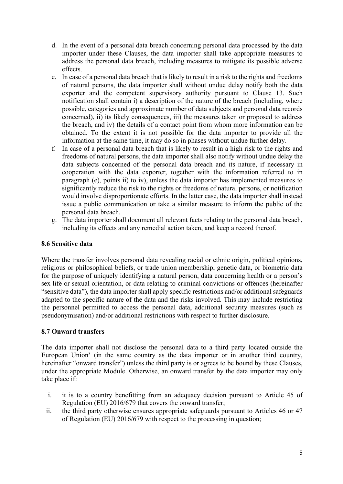- d. In the event of a personal data breach concerning personal data processed by the data importer under these Clauses, the data importer shall take appropriate measures to address the personal data breach, including measures to mitigate its possible adverse effects.
- e. In case of a personal data breach that is likely to result in a risk to the rights and freedoms of natural persons, the data importer shall without undue delay notify both the data exporter and the competent supervisory authority pursuant to Clause 13. Such notification shall contain i) a description of the nature of the breach (including, where possible, categories and approximate number of data subjects and personal data records concerned), ii) its likely consequences, iii) the measures taken or proposed to address the breach, and iv) the details of a contact point from whom more information can be obtained. To the extent it is not possible for the data importer to provide all the information at the same time, it may do so in phases without undue further delay.
- f. In case of a personal data breach that is likely to result in a high risk to the rights and freedoms of natural persons, the data importer shall also notify without undue delay the data subjects concerned of the personal data breach and its nature, if necessary in cooperation with the data exporter, together with the information referred to in paragraph (e), points ii) to iv), unless the data importer has implemented measures to significantly reduce the risk to the rights or freedoms of natural persons, or notification would involve disproportionate efforts. In the latter case, the data importer shall instead issue a public communication or take a similar measure to inform the public of the personal data breach.
- g. The data importer shall document all relevant facts relating to the personal data breach, including its effects and any remedial action taken, and keep a record thereof.

### **8.6 Sensitive data**

Where the transfer involves personal data revealing racial or ethnic origin, political opinions, religious or philosophical beliefs, or trade union membership, genetic data, or biometric data for the purpose of uniquely identifying a natural person, data concerning health or a person's sex life or sexual orientation, or data relating to criminal convictions or offences (hereinafter "sensitive data"), the data importer shall apply specific restrictions and/or additional safeguards adapted to the specific nature of the data and the risks involved. This may include restricting the personnel permitted to access the personal data, additional security measures (such as pseudonymisation) and/or additional restrictions with respect to further disclosure.

### **8.7 Onward transfers**

The data importer shall not disclose the personal data to a third party located outside the European Union<sup>3</sup> (in the same country as the data importer or in another third country, hereinafter "onward transfer") unless the third party is or agrees to be bound by these Clauses, under the appropriate Module. Otherwise, an onward transfer by the data importer may only take place if:

- i. it is to a country benefitting from an adequacy decision pursuant to Article 45 of Regulation (EU) 2016/679 that covers the onward transfer;
- ii. the third party otherwise ensures appropriate safeguards pursuant to Articles 46 or 47 of Regulation (EU) 2016/679 with respect to the processing in question;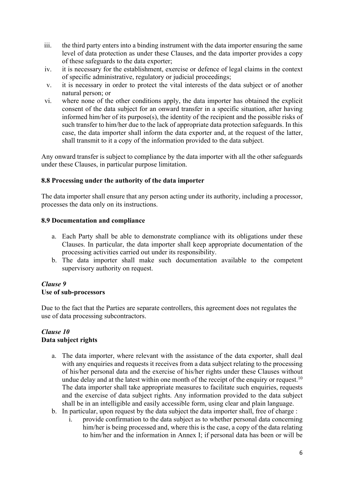- iii. the third party enters into a binding instrument with the data importer ensuring the same level of data protection as under these Clauses, and the data importer provides a copy of these safeguards to the data exporter;
- iv. it is necessary for the establishment, exercise or defence of legal claims in the context of specific administrative, regulatory or judicial proceedings;
- v. it is necessary in order to protect the vital interests of the data subject or of another natural person; or
- vi. where none of the other conditions apply, the data importer has obtained the explicit consent of the data subject for an onward transfer in a specific situation, after having informed him/her of its purpose(s), the identity of the recipient and the possible risks of such transfer to him/her due to the lack of appropriate data protection safeguards. In this case, the data importer shall inform the data exporter and, at the request of the latter, shall transmit to it a copy of the information provided to the data subject.

Any onward transfer is subject to compliance by the data importer with all the other safeguards under these Clauses, in particular purpose limitation.

### **8.8 Processing under the authority of the data importer**

The data importer shall ensure that any person acting under its authority, including a processor, processes the data only on its instructions.

### **8.9 Documentation and compliance**

- a. Each Party shall be able to demonstrate compliance with its obligations under these Clauses. In particular, the data importer shall keep appropriate documentation of the processing activities carried out under its responsibility.
- b. The data importer shall make such documentation available to the competent supervisory authority on request.

### *Clause 9* **Use of sub-processors**

Due to the fact that the Parties are separate controllers, this agreement does not regulates the use of data processing subcontractors.

### *Clause 10* **Data subject rights**

- a. The data importer, where relevant with the assistance of the data exporter, shall deal with any enquiries and requests it receives from a data subject relating to the processing of his/her personal data and the exercise of his/her rights under these Clauses without undue delay and at the latest within one month of the receipt of the enquiry or request.<sup>10</sup> The data importer shall take appropriate measures to facilitate such enquiries, requests and the exercise of data subject rights. Any information provided to the data subject shall be in an intelligible and easily accessible form, using clear and plain language.
- b. In particular, upon request by the data subject the data importer shall, free of charge :
	- i. provide confirmation to the data subject as to whether personal data concerning him/her is being processed and, where this is the case, a copy of the data relating to him/her and the information in Annex I; if personal data has been or will be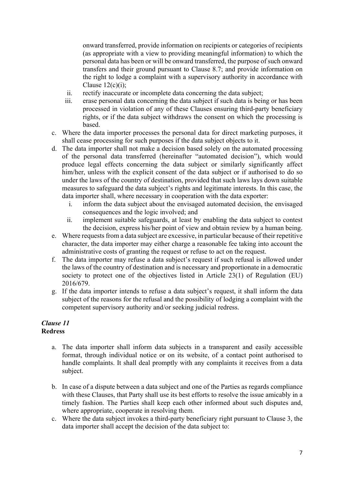onward transferred, provide information on recipients or categories of recipients (as appropriate with a view to providing meaningful information) to which the personal data has been or will be onward transferred, the purpose of such onward transfers and their ground pursuant to Clause 8.7; and provide information on the right to lodge a complaint with a supervisory authority in accordance with Clause  $12(c)(i)$ ;

- ii. rectify inaccurate or incomplete data concerning the data subject;
- iii. erase personal data concerning the data subject if such data is being or has been processed in violation of any of these Clauses ensuring third-party beneficiary rights, or if the data subject withdraws the consent on which the processing is based.
- c. Where the data importer processes the personal data for direct marketing purposes, it shall cease processing for such purposes if the data subject objects to it.
- d. The data importer shall not make a decision based solely on the automated processing of the personal data transferred (hereinafter "automated decision"), which would produce legal effects concerning the data subject or similarly significantly affect him/her, unless with the explicit consent of the data subject or if authorised to do so under the laws of the country of destination, provided that such laws lays down suitable measures to safeguard the data subject's rights and legitimate interests. In this case, the data importer shall, where necessary in cooperation with the data exporter:
	- i. inform the data subject about the envisaged automated decision, the envisaged consequences and the logic involved; and
	- ii. implement suitable safeguards, at least by enabling the data subject to contest the decision, express his/her point of view and obtain review by a human being.
- e. Where requests from a data subject are excessive, in particular because of their repetitive character, the data importer may either charge a reasonable fee taking into account the administrative costs of granting the request or refuse to act on the request.
- f. The data importer may refuse a data subject's request if such refusal is allowed under the laws of the country of destination and is necessary and proportionate in a democratic society to protect one of the objectives listed in Article 23(1) of Regulation (EU) 2016/679.
- g. If the data importer intends to refuse a data subject's request, it shall inform the data subject of the reasons for the refusal and the possibility of lodging a complaint with the competent supervisory authority and/or seeking judicial redress.

### *Clause 11* **Redress**

- a. The data importer shall inform data subjects in a transparent and easily accessible format, through individual notice or on its website, of a contact point authorised to handle complaints. It shall deal promptly with any complaints it receives from a data subject.
- b. In case of a dispute between a data subject and one of the Parties as regards compliance with these Clauses, that Party shall use its best efforts to resolve the issue amicably in a timely fashion. The Parties shall keep each other informed about such disputes and, where appropriate, cooperate in resolving them.
- c. Where the data subject invokes a third-party beneficiary right pursuant to Clause 3, the data importer shall accept the decision of the data subject to: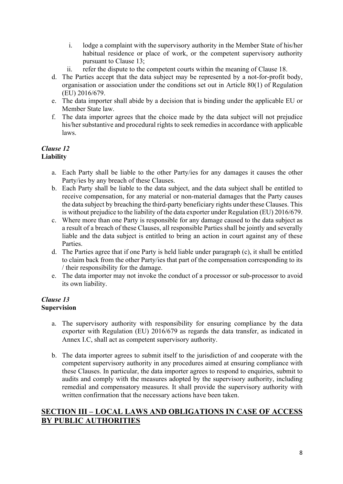- i. lodge a complaint with the supervisory authority in the Member State of his/her habitual residence or place of work, or the competent supervisory authority pursuant to Clause 13;
- ii. refer the dispute to the competent courts within the meaning of Clause 18.
- d. The Parties accept that the data subject may be represented by a not-for-profit body, organisation or association under the conditions set out in Article 80(1) of Regulation (EU) 2016/679.
- e. The data importer shall abide by a decision that is binding under the applicable EU or Member State law.
- f. The data importer agrees that the choice made by the data subject will not prejudice his/her substantive and procedural rights to seek remedies in accordance with applicable laws.

## *Clause 12* **Liability**

- a. Each Party shall be liable to the other Party/ies for any damages it causes the other Party/ies by any breach of these Clauses.
- b. Each Party shall be liable to the data subject, and the data subject shall be entitled to receive compensation, for any material or non-material damages that the Party causes the data subject by breaching the third-party beneficiary rights under these Clauses. This is without prejudice to the liability of the data exporter under Regulation (EU) 2016/679.
- c. Where more than one Party is responsible for any damage caused to the data subject as a result of a breach of these Clauses, all responsible Parties shall be jointly and severally liable and the data subject is entitled to bring an action in court against any of these Parties.
- d. The Parties agree that if one Party is held liable under paragraph (c), it shall be entitled to claim back from the other Party/ies that part of the compensation corresponding to its / their responsibility for the damage.
- e. The data importer may not invoke the conduct of a processor or sub-processor to avoid its own liability.

### *Clause 13* **Supervision**

- a. The supervisory authority with responsibility for ensuring compliance by the data exporter with Regulation (EU) 2016/679 as regards the data transfer, as indicated in Annex I.C, shall act as competent supervisory authority.
- b. The data importer agrees to submit itself to the jurisdiction of and cooperate with the competent supervisory authority in any procedures aimed at ensuring compliance with these Clauses. In particular, the data importer agrees to respond to enquiries, submit to audits and comply with the measures adopted by the supervisory authority, including remedial and compensatory measures. It shall provide the supervisory authority with written confirmation that the necessary actions have been taken.

# **SECTION III – LOCAL LAWS AND OBLIGATIONS IN CASE OF ACCESS BY PUBLIC AUTHORITIES**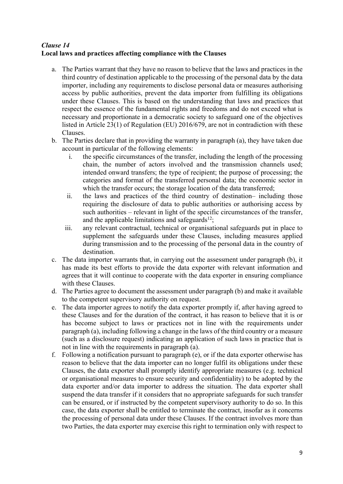## *Clause 14* **Local laws and practices affecting compliance with the Clauses**

- a. The Parties warrant that they have no reason to believe that the laws and practices in the third country of destination applicable to the processing of the personal data by the data importer, including any requirements to disclose personal data or measures authorising access by public authorities, prevent the data importer from fulfilling its obligations under these Clauses. This is based on the understanding that laws and practices that respect the essence of the fundamental rights and freedoms and do not exceed what is necessary and proportionate in a democratic society to safeguard one of the objectives listed in Article 23(1) of Regulation (EU) 2016/679, are not in contradiction with these Clauses.
- b. The Parties declare that in providing the warranty in paragraph (a), they have taken due account in particular of the following elements:
	- i. the specific circumstances of the transfer, including the length of the processing chain, the number of actors involved and the transmission channels used; intended onward transfers; the type of recipient; the purpose of processing; the categories and format of the transferred personal data; the economic sector in which the transfer occurs; the storage location of the data transferred;
	- ii. the laws and practices of the third country of destination– including those requiring the disclosure of data to public authorities or authorising access by such authorities – relevant in light of the specific circumstances of the transfer, and the applicable limitations and safeguards $12$ ;
	- iii. any relevant contractual, technical or organisational safeguards put in place to supplement the safeguards under these Clauses, including measures applied during transmission and to the processing of the personal data in the country of destination.
- c. The data importer warrants that, in carrying out the assessment under paragraph (b), it has made its best efforts to provide the data exporter with relevant information and agrees that it will continue to cooperate with the data exporter in ensuring compliance with these Clauses.
- d. The Parties agree to document the assessment under paragraph (b) and make it available to the competent supervisory authority on request.
- e. The data importer agrees to notify the data exporter promptly if, after having agreed to these Clauses and for the duration of the contract, it has reason to believe that it is or has become subject to laws or practices not in line with the requirements under paragraph (a), including following a change in the laws of the third country or a measure (such as a disclosure request) indicating an application of such laws in practice that is not in line with the requirements in paragraph (a).
- f. Following a notification pursuant to paragraph (e), or if the data exporter otherwise has reason to believe that the data importer can no longer fulfil its obligations under these Clauses, the data exporter shall promptly identify appropriate measures (e.g. technical or organisational measures to ensure security and confidentiality) to be adopted by the data exporter and/or data importer to address the situation. The data exporter shall suspend the data transfer if it considers that no appropriate safeguards for such transfer can be ensured, or if instructed by the competent supervisory authority to do so. In this case, the data exporter shall be entitled to terminate the contract, insofar as it concerns the processing of personal data under these Clauses. If the contract involves more than two Parties, the data exporter may exercise this right to termination only with respect to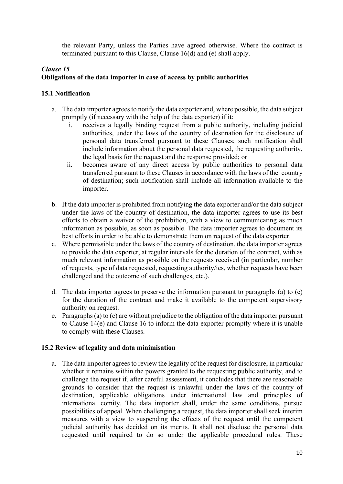the relevant Party, unless the Parties have agreed otherwise. Where the contract is terminated pursuant to this Clause, Clause 16(d) and (e) shall apply.

# *Clause 15*

# **Obligations of the data importer in case of access by public authorities**

### **15.1 Notification**

- a. The data importer agrees to notify the data exporter and, where possible, the data subject promptly (if necessary with the help of the data exporter) if it:
	- i. receives a legally binding request from a public authority, including judicial authorities, under the laws of the country of destination for the disclosure of personal data transferred pursuant to these Clauses; such notification shall include information about the personal data requested, the requesting authority, the legal basis for the request and the response provided; or
	- ii. becomes aware of any direct access by public authorities to personal data transferred pursuant to these Clauses in accordance with the laws of the country of destination; such notification shall include all information available to the importer.
- b. If the data importer is prohibited from notifying the data exporter and/or the data subject under the laws of the country of destination, the data importer agrees to use its best efforts to obtain a waiver of the prohibition, with a view to communicating as much information as possible, as soon as possible. The data importer agrees to document its best efforts in order to be able to demonstrate them on request of the data exporter.
- c. Where permissible under the laws of the country of destination, the data importer agrees to provide the data exporter, at regular intervals for the duration of the contract, with as much relevant information as possible on the requests received (in particular, number of requests, type of data requested, requesting authority/ies, whether requests have been challenged and the outcome of such challenges, etc.).
- d. The data importer agrees to preserve the information pursuant to paragraphs (a) to (c) for the duration of the contract and make it available to the competent supervisory authority on request.
- e. Paragraphs (a) to (c) are without prejudice to the obligation of the data importer pursuant to Clause 14(e) and Clause 16 to inform the data exporter promptly where it is unable to comply with these Clauses.

### **15.2 Review of legality and data minimisation**

a. The data importer agrees to review the legality of the request for disclosure, in particular whether it remains within the powers granted to the requesting public authority, and to challenge the request if, after careful assessment, it concludes that there are reasonable grounds to consider that the request is unlawful under the laws of the country of destination, applicable obligations under international law and principles of international comity. The data importer shall, under the same conditions, pursue possibilities of appeal. When challenging a request, the data importer shall seek interim measures with a view to suspending the effects of the request until the competent judicial authority has decided on its merits. It shall not disclose the personal data requested until required to do so under the applicable procedural rules. These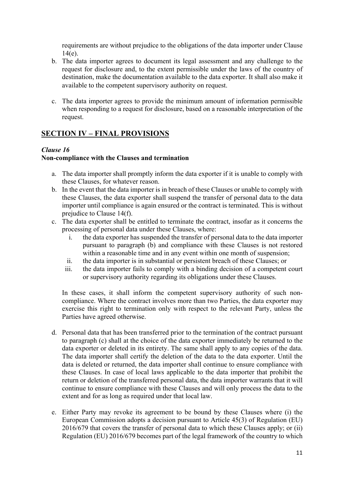requirements are without prejudice to the obligations of the data importer under Clause 14(e).

- b. The data importer agrees to document its legal assessment and any challenge to the request for disclosure and, to the extent permissible under the laws of the country of destination, make the documentation available to the data exporter. It shall also make it available to the competent supervisory authority on request.
- c. The data importer agrees to provide the minimum amount of information permissible when responding to a request for disclosure, based on a reasonable interpretation of the request.

# **SECTION IV – FINAL PROVISIONS**

## *Clause 16*

### **Non-compliance with the Clauses and termination**

- a. The data importer shall promptly inform the data exporter if it is unable to comply with these Clauses, for whatever reason.
- b. In the event that the data importer is in breach of these Clauses or unable to comply with these Clauses, the data exporter shall suspend the transfer of personal data to the data importer until compliance is again ensured or the contract is terminated. This is without prejudice to Clause 14(f).
- c. The data exporter shall be entitled to terminate the contract, insofar as it concerns the processing of personal data under these Clauses, where:
	- i. the data exporter has suspended the transfer of personal data to the data importer pursuant to paragraph (b) and compliance with these Clauses is not restored within a reasonable time and in any event within one month of suspension;
	- ii. the data importer is in substantial or persistent breach of these Clauses; or
	- iii. the data importer fails to comply with a binding decision of a competent court or supervisory authority regarding its obligations under these Clauses.

In these cases, it shall inform the competent supervisory authority of such noncompliance. Where the contract involves more than two Parties, the data exporter may exercise this right to termination only with respect to the relevant Party, unless the Parties have agreed otherwise.

- d. Personal data that has been transferred prior to the termination of the contract pursuant to paragraph (c) shall at the choice of the data exporter immediately be returned to the data exporter or deleted in its entirety. The same shall apply to any copies of the data. The data importer shall certify the deletion of the data to the data exporter. Until the data is deleted or returned, the data importer shall continue to ensure compliance with these Clauses. In case of local laws applicable to the data importer that prohibit the return or deletion of the transferred personal data, the data importer warrants that it will continue to ensure compliance with these Clauses and will only process the data to the extent and for as long as required under that local law.
- e. Either Party may revoke its agreement to be bound by these Clauses where (i) the European Commission adopts a decision pursuant to Article 45(3) of Regulation (EU) 2016/679 that covers the transfer of personal data to which these Clauses apply; or (ii) Regulation (EU) 2016/679 becomes part of the legal framework of the country to which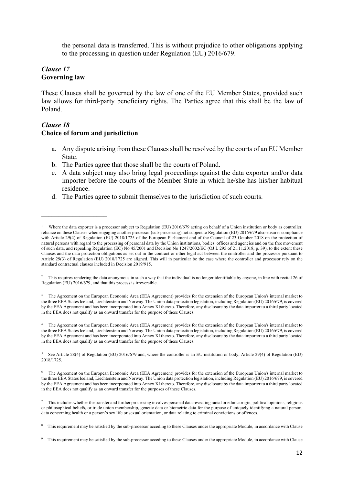the personal data is transferred. This is without prejudice to other obligations applying to the processing in question under Regulation (EU) 2016/679.

## *Clause 17* **Governing law**

These Clauses shall be governed by the law of one of the EU Member States, provided such law allows for third-party beneficiary rights. The Parties agree that this shall be the law of Poland.

#### *Clause 18* **Choice of forum and jurisdiction**

- a. Any dispute arising from these Clauses shall be resolved by the courts of an EU Member State.
- b. The Parties agree that those shall be the courts of Poland.
- c. A data subject may also bring legal proceedings against the data exporter and/or data importer before the courts of the Member State in which he/she has his/her habitual residence.
- d. The Parties agree to submit themselves to the jurisdiction of such courts.

2 This requires rendering the data anonymous in such a way that the individual is no longer identifiable by anyone, in line with recital 26 of Regulation (EU) 2016/679, and that this process is irreversible.

<sup>3</sup> The Agreement on the European Economic Area (EEA Agreement) provides for the extension of the European Union's internal market to the three EEA States Iceland, Liechtenstein and Norway. The Union data protection legislation, including Regulation (EU) 2016/679, is covered by the EEA Agreement and has been incorporated into Annex XI thereto. Therefore, any disclosure by the data importer to a third party located in the EEA does not qualify as an onward transfer for the purpose of these Clauses.

<sup>4</sup> The Agreement on the European Economic Area (EEA Agreement) provides for the extension of the European Union's internal market to the three EEA States Iceland, Liechtenstein and Norway. The Union data protection legislation, including Regulation (EU) 2016/679, is covered by the EEA Agreement and has been incorporated into Annex XI thereto. Therefore, any disclosure by the data importer to a third party located in the EEA does not qualify as an onward transfer for the purpose of these Clauses.

<sup>5</sup> See Article 28(4) of Regulation (EU) 2016/679 and, where the controller is an EU institution or body, Article 29(4) of Regulation (EU) 2018/1725.

<sup>&</sup>lt;sup>1</sup> Where the data exporter is a processor subject to Regulation (EU) 2016/679 acting on behalf of a Union institution or body as controller, reliance on these Clauses when engaging another processor (sub-processing) not subject to Regulation (EU) 2016/679 also ensures compliance with Article 29(4) of Regulation (EU) 2018/1725 of the European Parliament and of the Council of 23 October 2018 on the protection of natural persons with regard to the processing of personal data by the Union institutions, bodies, offices and agencies and on the free movement of such data, and repealing Regulation (EC) No 45/2001 and Decision No 1247/2002/EC (OJ L 295 of 21.11.2018, p. 39), to the extent these Clauses and the data protection obligations as set out in the contract or other legal act between the controller and the processor pursuant to Article 29(3) of Regulation (EU) 2018/1725 are aligned. This will in particular be the case where the controller and processor rely on the standard contractual clauses included in Decision 2019/915.

<sup>&</sup>lt;sup>6</sup> The Agreement on the European Economic Area (EEA Agreement) provides for the extension of the European Union's internal market to the three EEA States Iceland, Liechtenstein and Norway. The Union data protection legislation, including Regulation (EU) 2016/679, is covered by the EEA Agreement and has been incorporated into Annex XI thereto. Therefore, any disclosure by the data importer to a third party located in the EEA does not qualify as an onward transfer for the purposes of these Clauses.

<sup>&</sup>lt;sup>7</sup> This includes whether the transfer and further processing involves personal data revealing racial or ethnic origin, political opinions, religious or philosophical beliefs, or trade union membership, genetic data or biometric data for the purpose of uniquely identifying a natural person, data concerning health or a person's sex life or sexual orientation, or data relating to criminal convictions or offences.

<sup>&</sup>lt;sup>8</sup> This requirement may be satisfied by the sub-processor acceding to these Clauses under the appropriate Module, in accordance with Clause

<sup>&</sup>lt;sup>9</sup> This requirement may be satisfied by the sub-processor acceding to these Clauses under the appropriate Module, in accordance with Clause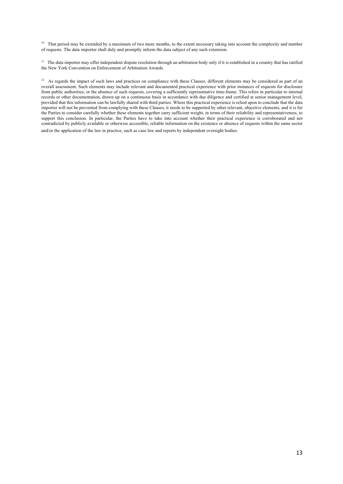<sup>10</sup> That period may be extended by a maximum of two more months, to the extent necessary taking into account the complexity and number of requests. The data importer shall duly and promptly inform the data subject of any such extension.

<sup>11</sup> The data importer may offer independent dispute resolution through an arbitration body only if it is established in a country that has ratified the New York Convention on Enforcement of Arbitration Awards.

<sup>12</sup> As regards the impact of such laws and practices on compliance with these Clauses, different elements may be considered as part of an overall assessment. Such elements may include relevant and documented practical experience with prior instances of requests for disclosure from public authorities, or the absence of such requests, covering a sufficiently representative time-frame. This refers in particular to internal records or other documentation, drawn up on a continuous basis in accordance with due diligence and certified at senior management level, provided that this information can be lawfully shared with third parties. Where this practical experience is relied upon to conclude that the data importer will not be prevented from complying with these Clauses, it needs to be supported by other relevant, objective elements, and it is for the Parties to consider carefully whether these elements together carry sufficient weight, in terms of their reliability and representativeness, to support this conclusion. In particular, the Parties have to take into account whether their practical experience is corroborated and not contradicted by publicly available or otherwise accessible, reliable information on the existence or absence of requests within the same sector and/or the application of the law in practice, such as case law and reports by independent oversight bodies.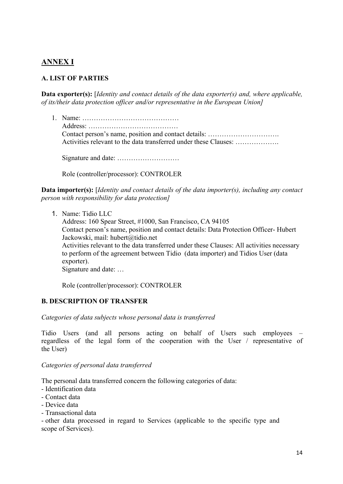# **ANNEX I**

# **A. LIST OF PARTIES**

**Data exporter(s):** [*Identity and contact details of the data exporter(s) and, where applicable, of its/their data protection officer and/or representative in the European Union]*

1. Name: …………………………………… Address: ………………………………… Contact person's name, position and contact details: …………………………. Activities relevant to the data transferred under these Clauses: ……………….

Signature and date: ………………………

Role (controller/processor): CONTROLER

**Data importer(s):** [*Identity and contact details of the data importer(s), including any contact person with responsibility for data protection]*

1. Name: Tidio LLC

Address: 160 Spear Street, #1000, San Francisco, CA 94105 Contact person's name, position and contact details: Data Protection Officer- Hubert Jackowski, mail: hubert@tidio.net Activities relevant to the data transferred under these Clauses: All activities necessary to perform of the agreement between Tidio (data importer) and Tidios User (data exporter). Signature and date: …

Role (controller/processor): CONTROLER

### **B. DESCRIPTION OF TRANSFER**

*Categories of data subjects whose personal data is transferred*

Tidio Users (and all persons acting on behalf of Users such employees – regardless of the legal form of the cooperation with the User / representative of the User)

#### *Categories of personal data transferred*

The personal data transferred concern the following categories of data:

- Identification data
- Contact data
- Device data
- Transactional data

- other data processed in regard to Services (applicable to the specific type and scope of Services).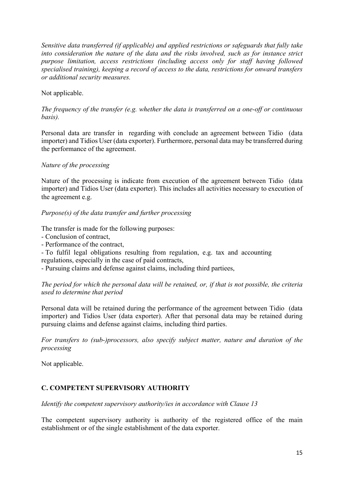*Sensitive data transferred (if applicable) and applied restrictions or safeguards that fully take into consideration the nature of the data and the risks involved, such as for instance strict purpose limitation, access restrictions (including access only for staff having followed specialised training), keeping a record of access to the data, restrictions for onward transfers or additional security measures.*

Not applicable.

### *The frequency of the transfer (e.g. whether the data is transferred on a one-off or continuous basis).*

Personal data are transfer in regarding with conclude an agreement between Tidio (data importer) and Tidios User (data exporter). Furthermore, personal data may be transferred during the performance of the agreement.

## *Nature of the processing*

Nature of the processing is indicate from execution of the agreement between Tidio (data importer) and Tidios User (data exporter). This includes all activities necessary to execution of the agreement e.g.

### *Purpose(s) of the data transfer and further processing*

The transfer is made for the following purposes:

- Conclusion of contract,
- Performance of the contract,
- To fulfil legal obligations resulting from regulation, e.g. tax and accounting

regulations, especially in the case of paid contracts,

- Pursuing claims and defense against claims, including third partiees,

*The period for which the personal data will be retained, or, if that is not possible, the criteria used to determine that period*

Personal data will be retained during the performance of the agreement between Tidio (data importer) and Tidios User (data exporter). After that personal data may be retained during pursuing claims and defense against claims, including third parties.

*For transfers to (sub-)processors, also specify subject matter, nature and duration of the processing*

Not applicable.

# **C. COMPETENT SUPERVISORY AUTHORITY**

*Identify the competent supervisory authority/ies in accordance with Clause 13*

The competent supervisory authority is authority of the registered office of the main establishment or of the single establishment of the data exporter.